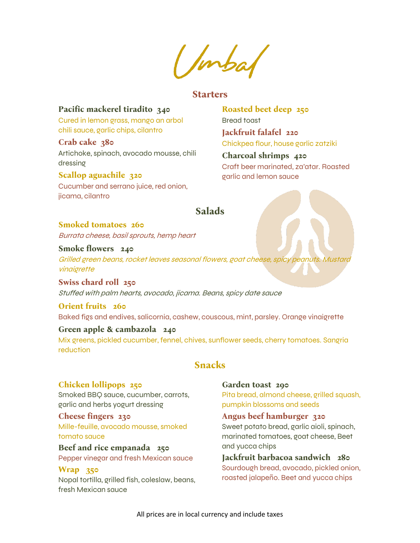Imbal

### **Starters**

## **Pacific mackerel tiradito 340**

Cured in lemon grass, mango an arbol chili sauce, garlic chips, cilantro

**Crab cake 380**  Artichoke, spinach, avocado mousse, chili dressing

#### **Scallop aguachile 320**

Cucumber and serrano juice, red onion, jicama, cilantro

**Roasted beet deep 250**  Bread toast **Jackfruit falafel 220** Chickpea flour, house garlic zatziki

**Charcoal shrimps 420**  Craft beer marinated, za'atar. Roasted garlic and lemon sauce

# **Salads**

# **Smoked tomatoes 260**

Burrata cheese, basil sprouts, hemp heart

# **Smoke flowers 240**

Grilled green beans, rocket leaves seasonal flowers, goat cheese, spicy peanuts. Mustard vinaigrette

**Swiss chard roll 250**  Stuffed with palm hearts, avocado, jicama. Beans, spicy date sauce

# **Orient fruits 260**  Baked figs and endives, salicornia, cashew, couscous, mint, parsley. Orange vinaigrette

### **Green apple & cambazola 240**

Mix greens, pickled cucumber, fennel, chives, sunflower seeds, cherry tomatoes. Sangria reduction

# **Snacks**

## **Chicken lollipops 250**

Smoked BBQ sauce, cucumber, carrots, garlic and herbs yogurt dressing

**Cheese fingers 230**  Mille-feuille, avocado mousse, smoked tomato sauce

**Beef and rice empanada 250**  Pepper vinegar and fresh Mexican sauce

# **Wrap 350**

Nopal tortilla, grilled fish, coleslaw, beans, fresh Mexican sauce

**Garden toast 290**  Pita bread, almond cheese, grilled squash, pumpkin blossoms and seeds

**Angus beef hamburger 320**  Sweet potato bread, garlic aioli, spinach, marinated tomatoes, goat cheese, Beet and yucca chips

**Jackfruit barbacoa sandwich 280**  Sourdough bread, avocado, pickled onion, roasted jalapeño. Beet and yucca chips